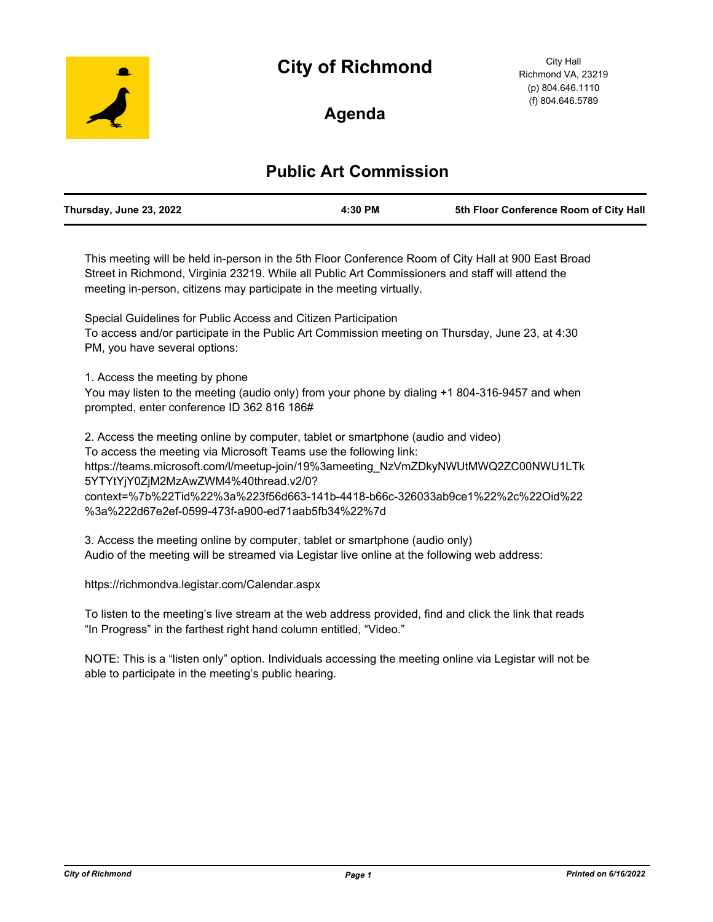# **City of Richmond**



City Hall Richmond VA, 23219 (p) 804.646.1110 (f) 804.646.5789

# **Agenda**

# **Public Art Commission**

| Thursday, June 23, 2022 | 4:30 PM | 5th Floor Conference Room of City Hall |
|-------------------------|---------|----------------------------------------|
|                         |         |                                        |

This meeting will be held in-person in the 5th Floor Conference Room of City Hall at 900 East Broad Street in Richmond, Virginia 23219. While all Public Art Commissioners and staff will attend the meeting in-person, citizens may participate in the meeting virtually.

Special Guidelines for Public Access and Citizen Participation To access and/or participate in the Public Art Commission meeting on Thursday, June 23, at 4:30 PM, you have several options:

1. Access the meeting by phone

You may listen to the meeting (audio only) from your phone by dialing +1 804-316-9457 and when prompted, enter conference ID 362 816 186#

2. Access the meeting online by computer, tablet or smartphone (audio and video) To access the meeting via Microsoft Teams use the following link: https://teams.microsoft.com/l/meetup-join/19%3ameeting\_NzVmZDkyNWUtMWQ2ZC00NWU1LTk 5YTYtYjY0ZjM2MzAwZWM4%40thread.v2/0? context=%7b%22Tid%22%3a%223f56d663-141b-4418-b66c-326033ab9ce1%22%2c%22Oid%22 %3a%222d67e2ef-0599-473f-a900-ed71aab5fb34%22%7d

3. Access the meeting online by computer, tablet or smartphone (audio only) Audio of the meeting will be streamed via Legistar live online at the following web address:

https://richmondva.legistar.com/Calendar.aspx

To listen to the meeting's live stream at the web address provided, find and click the link that reads "In Progress" in the farthest right hand column entitled, "Video."

NOTE: This is a "listen only" option. Individuals accessing the meeting online via Legistar will not be able to participate in the meeting's public hearing.